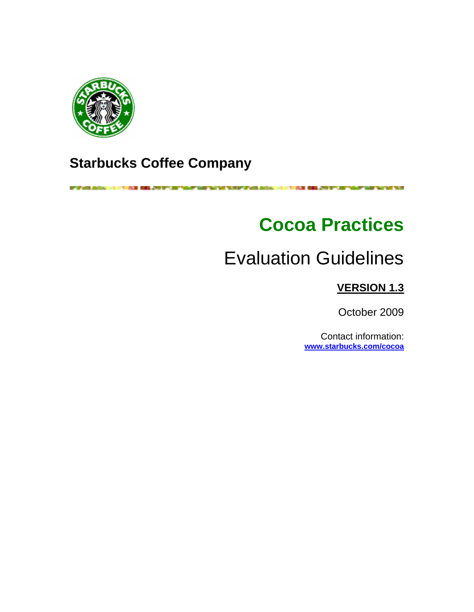

# **Starbucks Coffee Company**

**RF all sides. Become a class** WHEN THE PART OF HER RESIN CONTROL TO A 200 MILE AND RESIDENCE TO A 200 MILE WAS TOO THE **STORIES OF A PAGE OF** 

# **Cocoa Practices**

# Evaluation Guidelines

# **VERSION 1.3**

October 2009

Contact information: **www.starbucks.com/cocoa**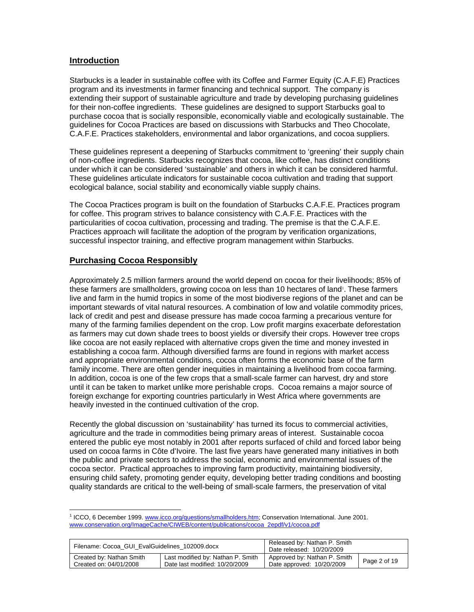# **Introduction**

Starbucks is a leader in sustainable coffee with its Coffee and Farmer Equity (C.A.F.E) Practices program and its investments in farmer financing and technical support. The company is extending their support of sustainable agriculture and trade by developing purchasing guidelines for their non-coffee ingredients. These guidelines are designed to support Starbucks goal to purchase cocoa that is socially responsible, economically viable and ecologically sustainable. The guidelines for Cocoa Practices are based on discussions with Starbucks and Theo Chocolate, C.A.F.E. Practices stakeholders, environmental and labor organizations, and cocoa suppliers.

These guidelines represent a deepening of Starbucks commitment to 'greening' their supply chain of non-coffee ingredients. Starbucks recognizes that cocoa, like coffee, has distinct conditions under which it can be considered 'sustainable' and others in which it can be considered harmful. These guidelines articulate indicators for sustainable cocoa cultivation and trading that support ecological balance, social stability and economically viable supply chains.

The Cocoa Practices program is built on the foundation of Starbucks C.A.F.E. Practices program for coffee. This program strives to balance consistency with C.A.F.E. Practices with the particularities of cocoa cultivation, processing and trading. The premise is that the C.A.F.E. Practices approach will facilitate the adoption of the program by verification organizations, successful inspector training, and effective program management within Starbucks.

# **Purchasing Cocoa Responsibly**

 $\overline{a}$ 

Approximately 2.5 million farmers around the world depend on cocoa for their livelihoods; 85% of these farmers are smallholders, growing cocoa on less than 10 hectares of land<sup>1</sup>. These farmers live and farm in the humid tropics in some of the most biodiverse regions of the planet and can be important stewards of vital natural resources. A combination of low and volatile commodity prices, lack of credit and pest and disease pressure has made cocoa farming a precarious venture for many of the farming families dependent on the crop. Low profit margins exacerbate deforestation as farmers may cut down shade trees to boost yields or diversify their crops. However tree crops like cocoa are not easily replaced with alternative crops given the time and money invested in establishing a cocoa farm. Although diversified farms are found in regions with market access and appropriate environmental conditions, cocoa often forms the economic base of the farm family income. There are often gender inequities in maintaining a livelihood from cocoa farming. In addition, cocoa is one of the few crops that a small-scale farmer can harvest, dry and store until it can be taken to market unlike more perishable crops. Cocoa remains a major source of foreign exchange for exporting countries particularly in West Africa where governments are heavily invested in the continued cultivation of the crop.

Recently the global discussion on 'sustainability' has turned its focus to commercial activities, agriculture and the trade in commodities being primary areas of interest. Sustainable cocoa entered the public eye most notably in 2001 after reports surfaced of child and forced labor being used on cocoa farms in Côte d'Ivoire. The last five years have generated many initiatives in both the public and private sectors to address the social, economic and environmental issues of the cocoa sector. Practical approaches to improving farm productivity, maintaining biodiversity, ensuring child safety, promoting gender equity, developing better trading conditions and boosting quality standards are critical to the well-being of small-scale farmers, the preservation of vital

<sup>&</sup>lt;sup>1</sup> ICCO, 6 December 1999. www.icco.org/questions/smallholders.htm; Conservation International. June 2001. www.conservation.org/ImageCache/CIWEB/content/publications/cocoa\_2epdf/v1/cocoa.pdf

| Filename: Cocoa GUI EvalGuidelines 102009.docx |                                   | Released by: Nathan P. Smith<br>Date released: 10/20/2009 |              |
|------------------------------------------------|-----------------------------------|-----------------------------------------------------------|--------------|
| Created by: Nathan Smith                       | Last modified by: Nathan P. Smith | Approved by: Nathan P. Smith                              | Page 2 of 19 |
| Created on: 04/01/2008                         | Date last modified: 10/20/2009    | Date approved: 10/20/2009                                 |              |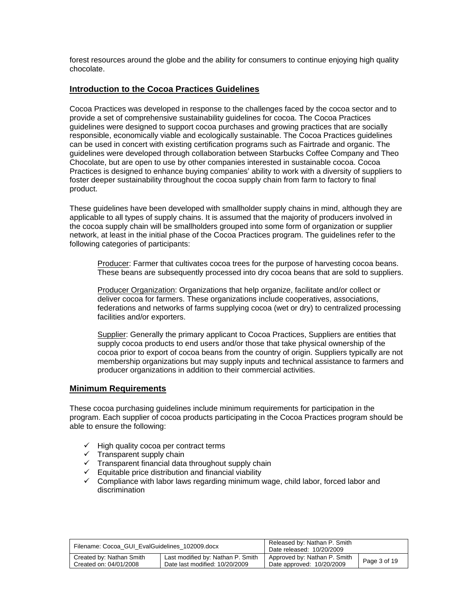forest resources around the globe and the ability for consumers to continue enjoying high quality chocolate.

# **Introduction to the Cocoa Practices Guidelines**

Cocoa Practices was developed in response to the challenges faced by the cocoa sector and to provide a set of comprehensive sustainability guidelines for cocoa. The Cocoa Practices guidelines were designed to support cocoa purchases and growing practices that are socially responsible, economically viable and ecologically sustainable. The Cocoa Practices guidelines can be used in concert with existing certification programs such as Fairtrade and organic. The guidelines were developed through collaboration between Starbucks Coffee Company and Theo Chocolate, but are open to use by other companies interested in sustainable cocoa. Cocoa Practices is designed to enhance buying companies' ability to work with a diversity of suppliers to foster deeper sustainability throughout the cocoa supply chain from farm to factory to final product.

These guidelines have been developed with smallholder supply chains in mind, although they are applicable to all types of supply chains. It is assumed that the majority of producers involved in the cocoa supply chain will be smallholders grouped into some form of organization or supplier network, at least in the initial phase of the Cocoa Practices program. The guidelines refer to the following categories of participants:

Producer: Farmer that cultivates cocoa trees for the purpose of harvesting cocoa beans. These beans are subsequently processed into dry cocoa beans that are sold to suppliers.

Producer Organization: Organizations that help organize, facilitate and/or collect or deliver cocoa for farmers. These organizations include cooperatives, associations, federations and networks of farms supplying cocoa (wet or dry) to centralized processing facilities and/or exporters.

Supplier: Generally the primary applicant to Cocoa Practices, Suppliers are entities that supply cocoa products to end users and/or those that take physical ownership of the cocoa prior to export of cocoa beans from the country of origin. Suppliers typically are not membership organizations but may supply inputs and technical assistance to farmers and producer organizations in addition to their commercial activities.

# **Minimum Requirements**

These cocoa purchasing guidelines include minimum requirements for participation in the program. Each supplier of cocoa products participating in the Cocoa Practices program should be able to ensure the following:

- $\checkmark$  High quality cocoa per contract terms
- $\checkmark$  Transparent supply chain
- $\checkmark$  Transparent financial data throughout supply chain
- $\checkmark$  Equitable price distribution and financial viability
- $\checkmark$  Compliance with labor laws regarding minimum wage, child labor, forced labor and discrimination

| Filename: Cocoa GUI EvalGuidelines 102009.docx |                                   | Released by: Nathan P. Smith<br>Date released: 10/20/2009 |              |
|------------------------------------------------|-----------------------------------|-----------------------------------------------------------|--------------|
| Created by: Nathan Smith                       | Last modified by: Nathan P. Smith | Approved by: Nathan P. Smith                              | Page 3 of 19 |
| Created on: 04/01/2008                         | Date last modified: 10/20/2009    | Date approved: 10/20/2009                                 |              |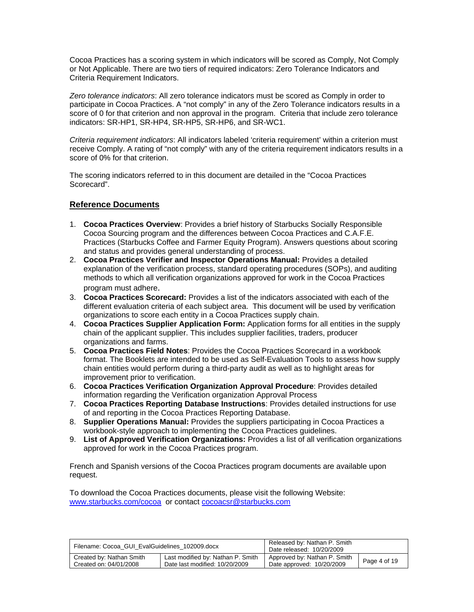Cocoa Practices has a scoring system in which indicators will be scored as Comply, Not Comply or Not Applicable. There are two tiers of required indicators: Zero Tolerance Indicators and Criteria Requirement Indicators.

*Zero tolerance indicators*: All zero tolerance indicators must be scored as Comply in order to participate in Cocoa Practices. A "not comply" in any of the Zero Tolerance indicators results in a score of 0 for that criterion and non approval in the program. Criteria that include zero tolerance indicators: SR-HP1, SR-HP4, SR-HP5, SR-HP6, and SR-WC1.

*Criteria requirement indicators*: All indicators labeled 'criteria requirement' within a criterion must receive Comply. A rating of "not comply" with any of the criteria requirement indicators results in a score of 0% for that criterion.

The scoring indicators referred to in this document are detailed in the "Cocoa Practices Scorecard".

# **Reference Documents**

- 1. **Cocoa Practices Overview**: Provides a brief history of Starbucks Socially Responsible Cocoa Sourcing program and the differences between Cocoa Practices and C.A.F.E. Practices (Starbucks Coffee and Farmer Equity Program). Answers questions about scoring and status and provides general understanding of process.
- 2. **Cocoa Practices Verifier and Inspector Operations Manual:** Provides a detailed explanation of the verification process, standard operating procedures (SOPs), and auditing methods to which all verification organizations approved for work in the Cocoa Practices program must adhere.
- 3. **Cocoa Practices Scorecard:** Provides a list of the indicators associated with each of the different evaluation criteria of each subject area. This document will be used by verification organizations to score each entity in a Cocoa Practices supply chain.
- 4. **Cocoa Practices Supplier Application Form:** Application forms for all entities in the supply chain of the applicant supplier. This includes supplier facilities, traders, producer organizations and farms.
- 5. **Cocoa Practices Field Notes**: Provides the Cocoa Practices Scorecard in a workbook format. The Booklets are intended to be used as Self-Evaluation Tools to assess how supply chain entities would perform during a third-party audit as well as to highlight areas for improvement prior to verification.
- 6. **Cocoa Practices Verification Organization Approval Procedure**: Provides detailed information regarding the Verification organization Approval Process
- 7. **Cocoa Practices Reporting Database Instructions**: Provides detailed instructions for use of and reporting in the Cocoa Practices Reporting Database.
- 8. **Supplier Operations Manual:** Provides the suppliers participating in Cocoa Practices a workbook-style approach to implementing the Cocoa Practices guidelines.
- 9. **List of Approved Verification Organizations:** Provides a list of all verification organizations approved for work in the Cocoa Practices program.

French and Spanish versions of the Cocoa Practices program documents are available upon request.

To download the Cocoa Practices documents, please visit the following Website: www.starbucks.com/cocoa or contact cocoacsr@starbucks.com

| Filename: Cocoa GUI EvalGuidelines 102009.docx |                                   | Released by: Nathan P. Smith<br>Date released: 10/20/2009 |              |
|------------------------------------------------|-----------------------------------|-----------------------------------------------------------|--------------|
| Created by: Nathan Smith                       | Last modified by: Nathan P. Smith | Approved by: Nathan P. Smith                              | Page 4 of 19 |
| Created on: 04/01/2008                         | Date last modified: 10/20/2009    | Date approved: 10/20/2009                                 |              |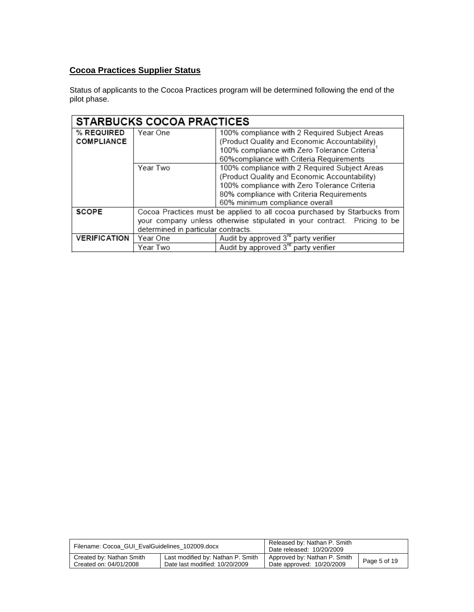# **Cocoa Practices Supplier Status**

Status of applicants to the Cocoa Practices program will be determined following the end of the pilot phase.

|                     | <b>STARBUCKS COCOA PRACTICES</b>                                         |                                                                          |  |  |  |
|---------------------|--------------------------------------------------------------------------|--------------------------------------------------------------------------|--|--|--|
| % REQUIRED          | Year One                                                                 | 100% compliance with 2 Required Subject Areas                            |  |  |  |
| <b>COMPLIANCE</b>   |                                                                          | (Product Quality and Economic Accountability)                            |  |  |  |
|                     |                                                                          | 100% compliance with Zero Tolerance Criteria <sup>1</sup>                |  |  |  |
|                     |                                                                          | 60% compliance with Criteria Requirements                                |  |  |  |
|                     | Year Two                                                                 | 100% compliance with 2 Required Subject Areas                            |  |  |  |
|                     |                                                                          | (Product Quality and Economic Accountability)                            |  |  |  |
|                     |                                                                          | 100% compliance with Zero Tolerance Criteria                             |  |  |  |
|                     |                                                                          | 80% compliance with Criteria Requirements                                |  |  |  |
|                     |                                                                          | 60% minimum compliance overall                                           |  |  |  |
| <b>SCOPE</b>        |                                                                          | Cocoa Practices must be applied to all cocoa purchased by Starbucks from |  |  |  |
|                     | your company unless otherwise stipulated in your contract. Pricing to be |                                                                          |  |  |  |
|                     | determined in particular contracts.                                      |                                                                          |  |  |  |
| <b>VERIFICATION</b> | Year One                                                                 | Audit by approved 3 <sup>rd</sup> party verifier                         |  |  |  |
|                     | Year Two                                                                 | Audit by approved 3 <sup>rd</sup> party verifier                         |  |  |  |

| Filename: Cocoa GUI EvalGuidelines 102009.docx |                                   | Released by: Nathan P. Smith<br>Date released: 10/20/2009 |              |
|------------------------------------------------|-----------------------------------|-----------------------------------------------------------|--------------|
| Created by: Nathan Smith                       | Last modified by: Nathan P. Smith | Approved by: Nathan P. Smith                              | Page 5 of 19 |
| Created on: 04/01/2008                         | Date last modified: 10/20/2009    | Date approved: 10/20/2009                                 |              |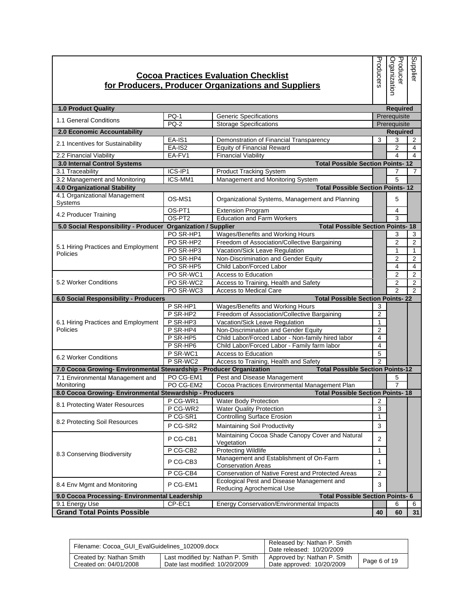|                                                                                          |                                | <b>Cocoa Practices Evaluation Checklist</b><br>for Producers, Producer Organizations and Suppliers | Producers               | Producer<br>Organization | Supplier       |
|------------------------------------------------------------------------------------------|--------------------------------|----------------------------------------------------------------------------------------------------|-------------------------|--------------------------|----------------|
| <b>1.0 Product Quality</b>                                                               |                                |                                                                                                    |                         | <b>Required</b>          |                |
|                                                                                          | <b>PQ-1</b>                    | <b>Generic Specifications</b>                                                                      |                         | Prerequisite             |                |
| 1.1 General Conditions                                                                   | $PQ-2$                         | <b>Storage Specifications</b>                                                                      |                         | Prerequisite             |                |
| 2.0 Economic Accountability                                                              |                                |                                                                                                    |                         | <b>Required</b>          |                |
|                                                                                          | EA-IS1                         | Demonstration of Financial Transparency                                                            | 3                       | 3                        | 2              |
| 2.1 Incentives for Sustainability                                                        | $EA-IS2$                       | <b>Equity of Financial Reward</b>                                                                  |                         | 2                        | 4              |
| 2.2 Financial Viability                                                                  | EA-FV1                         | <b>Financial Viability</b>                                                                         |                         | 4                        | 4              |
| 3.0 Internal Control Systems                                                             |                                | <b>Total Possible Section Points-12</b>                                                            |                         |                          |                |
| 3.1 Traceability                                                                         | ICS-IP1                        | <b>Product Tracking System</b>                                                                     |                         | 7                        | 7              |
| 3.2 Management and Monitoring                                                            | ICS-MM1                        | Management and Monitoring System                                                                   |                         | 5                        |                |
| 4.0 Organizational Stability                                                             |                                | <b>Total Possible Section Points-12</b>                                                            |                         |                          |                |
| 4.1 Organizational Management<br>Systems                                                 | OS-MS1                         | Organizational Systems, Management and Planning                                                    |                         | 5                        |                |
| 4.2 Producer Training                                                                    | OS-PT1                         | <b>Extension Program</b>                                                                           |                         | 4                        |                |
|                                                                                          | OS-PT <sub>2</sub>             | <b>Education and Farm Workers</b>                                                                  |                         | 3                        |                |
| 5.0 Social Responsibility - Producer                                                     | <b>Organization / Supplier</b> | <b>Total Possible Section Points-18</b>                                                            |                         |                          |                |
|                                                                                          | PO SR-HP1                      | Wages/Benefits and Working Hours                                                                   |                         | 3                        | 3              |
| 5.1 Hiring Practices and Employment<br>Policies                                          | PO SR-HP2                      | Freedom of Association/Collective Bargaining                                                       |                         | $\overline{2}$           | 2              |
|                                                                                          | PO SR-HP3                      | Vacation/Sick Leave Regulation                                                                     |                         | 1                        | 1              |
|                                                                                          | PO SR-HP4                      | Non-Discrimination and Gender Equity                                                               |                         | $\overline{2}$           | 2              |
|                                                                                          | PO SR-HP5                      | Child Labor/Forced Labor                                                                           |                         | 4                        | $\overline{4}$ |
|                                                                                          | PO SR-WC1                      | Access to Education                                                                                |                         | 2                        | 2              |
| 5.2 Worker Conditions                                                                    | PO SR-WC2                      | Access to Training, Health and Safety                                                              |                         | $\overline{2}$           | 2              |
|                                                                                          | PO SR-WC3                      | <b>Access to Medical Care</b>                                                                      |                         | $\mathfrak{p}$           | $\mathcal{P}$  |
| 6.0 Social Responsibility - Producers                                                    |                                | <b>Total Possible Section Points-22</b>                                                            |                         |                          |                |
|                                                                                          | P SR-HP1                       | Wages/Benefits and Working Hours                                                                   | 3                       |                          |                |
|                                                                                          | P SR-HP2                       | Freedom of Association/Collective Bargaining                                                       | 2                       |                          |                |
| 6.1 Hiring Practices and Employment                                                      | P SR-HP3                       | Vacation/Sick Leave Regulation                                                                     | $\mathbf{1}$            |                          |                |
| Policies                                                                                 | P SR-HP4                       | Non-Discrimination and Gender Equity                                                               | $\overline{2}$          |                          |                |
|                                                                                          | P SR-HP5                       | Child Labor/Forced Labor - Non-family hired labor                                                  | 4                       |                          |                |
|                                                                                          | P SR-HP6                       | Child Labor/Forced Labor - Family farm labor                                                       | $\overline{4}$          |                          |                |
| 6.2 Worker Conditions                                                                    | P SR-WC1                       | Access to Education                                                                                | 5                       |                          |                |
|                                                                                          | P SR-WC2                       | Access to Training, Health and Safety                                                              | $\overline{2}$          |                          |                |
| 7.0 Cocoa Growing- Environmental Stewardship - Producer Organization                     |                                | <b>Total Possible Section Points-12</b>                                                            |                         |                          |                |
| 7.1 Environmental Management and                                                         | PO CG-EM1                      | Pest and Disease Management                                                                        |                         | 5                        |                |
| Monitoring                                                                               | PO CG-EM2                      | Cocoa Practices Environmental Management Plan                                                      |                         | $\overline{7}$           |                |
| 8.0 Cocoa Growing- Environmental Stewardship - Producers                                 |                                | <b>Total Possible Section Points-18</b>                                                            |                         |                          |                |
| 8.1 Protecting Water Resources                                                           | P CG-WR1                       | Water Body Protection                                                                              |                         |                          |                |
|                                                                                          | P CG-WR2                       | <b>Water Quality Protection</b>                                                                    | 3                       |                          |                |
| 8.2 Protecting Soil Resources                                                            | P CG-SR1                       | <b>Controlling Surface Erosion</b>                                                                 | 1                       |                          |                |
|                                                                                          | P CG-SR2                       | Maintaining Soil Productivity                                                                      | 3                       |                          |                |
|                                                                                          | P CG-CB1                       | Maintaining Cocoa Shade Canopy Cover and Natural<br>Vegetation                                     | $\overline{2}$          |                          |                |
| 8.3 Conserving Biodiversity                                                              | P CG-CB2                       | <b>Protecting Wildlife</b>                                                                         | 1                       |                          |                |
|                                                                                          | P CG-CB3                       | Management and Establishment of On-Farm<br><b>Conservation Areas</b>                               | 1                       |                          |                |
|                                                                                          | P CG-CB4                       | Conservation of Native Forest and Protected Areas                                                  | $\overline{\mathbf{c}}$ |                          |                |
| 8.4 Env Mgmt and Monitoring                                                              | P CG-EM1                       | Ecological Pest and Disease Management and                                                         | 3                       |                          |                |
|                                                                                          |                                | Reducing Agrochemical Use                                                                          |                         |                          |                |
| <b>Total Possible Section Points-6</b><br>9.0 Cocoa Processing- Environmental Leadership |                                |                                                                                                    |                         |                          |                |
| 9.1 Energy Use                                                                           | CP-EC1                         | Energy Conservation/Environmental Impacts                                                          |                         | 6                        | 6              |
| <b>Grand Total Points Possible</b>                                                       |                                |                                                                                                    | 40                      | 60                       | 31             |

| Filename: Cocoa GUI EvalGuidelines 102009.docx |                                   | Released by: Nathan P. Smith<br>Date released: 10/20/2009 |              |
|------------------------------------------------|-----------------------------------|-----------------------------------------------------------|--------------|
| Created by: Nathan Smith                       | Last modified by: Nathan P. Smith | Approved by: Nathan P. Smith                              | Page 6 of 19 |
| Created on: 04/01/2008                         | Date last modified: 10/20/2009    | Date approved: 10/20/2009                                 |              |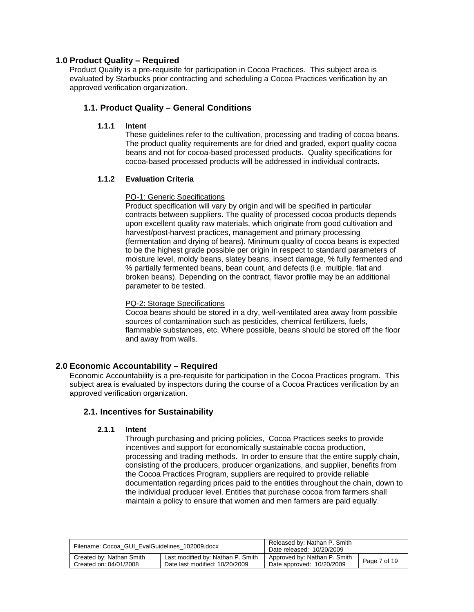# **1.0 Product Quality – Required**

Product Quality is a pre-requisite for participation in Cocoa Practices. This subject area is evaluated by Starbucks prior contracting and scheduling a Cocoa Practices verification by an approved verification organization.

# **1.1. Product Quality – General Conditions**

# **1.1.1 Intent**

These guidelines refer to the cultivation, processing and trading of cocoa beans. The product quality requirements are for dried and graded, export quality cocoa beans and not for cocoa-based processed products. Quality specifications for cocoa-based processed products will be addressed in individual contracts.

# **1.1.2 Evaluation Criteria**

# PQ-1: Generic Specifications

Product specification will vary by origin and will be specified in particular contracts between suppliers. The quality of processed cocoa products depends upon excellent quality raw materials, which originate from good cultivation and harvest/post-harvest practices, management and primary processing (fermentation and drying of beans). Minimum quality of cocoa beans is expected to be the highest grade possible per origin in respect to standard parameters of moisture level, moldy beans, slatey beans, insect damage, % fully fermented and % partially fermented beans, bean count, and defects (i.e. multiple, flat and broken beans). Depending on the contract, flavor profile may be an additional parameter to be tested.

# PQ-2: Storage Specifications

Cocoa beans should be stored in a dry, well-ventilated area away from possible sources of contamination such as pesticides, chemical fertilizers, fuels, flammable substances, etc. Where possible, beans should be stored off the floor and away from walls.

# **2.0 Economic Accountability – Required**

Economic Accountability is a pre-requisite for participation in the Cocoa Practices program. This subject area is evaluated by inspectors during the course of a Cocoa Practices verification by an approved verification organization.

# **2.1. Incentives for Sustainability**

# **2.1.1 Intent**

Through purchasing and pricing policies, Cocoa Practices seeks to provide incentives and support for economically sustainable cocoa production, processing and trading methods. In order to ensure that the entire supply chain, consisting of the producers, producer organizations, and supplier, benefits from the Cocoa Practices Program, suppliers are required to provide reliable documentation regarding prices paid to the entities throughout the chain, down to the individual producer level. Entities that purchase cocoa from farmers shall maintain a policy to ensure that women and men farmers are paid equally.

| Filename: Cocoa GUI EvalGuidelines 102009.docx |                                   | Released by: Nathan P. Smith<br>Date released: 10/20/2009 |              |
|------------------------------------------------|-----------------------------------|-----------------------------------------------------------|--------------|
| Created by: Nathan Smith                       | Last modified by: Nathan P. Smith | Approved by: Nathan P. Smith                              | Page 7 of 19 |
| Created on: 04/01/2008                         | Date last modified: 10/20/2009    | Date approved: 10/20/2009                                 |              |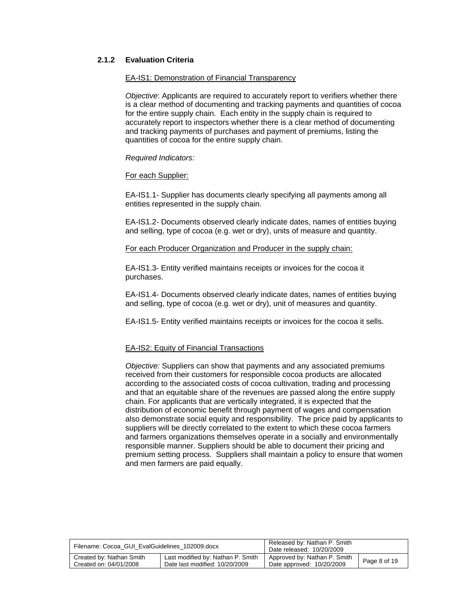# **2.1.2 Evaluation Criteria**

#### EA-IS1: Demonstration of Financial Transparency

*Objective*: Applicants are required to accurately report to verifiers whether there is a clear method of documenting and tracking payments and quantities of cocoa for the entire supply chain. Each entity in the supply chain is required to accurately report to inspectors whether there is a clear method of documenting and tracking payments of purchases and payment of premiums, listing the quantities of cocoa for the entire supply chain.

#### *Required Indicators:*

# For each Supplier:

EA-IS1.1- Supplier has documents clearly specifying all payments among all entities represented in the supply chain.

EA-IS1.2- Documents observed clearly indicate dates, names of entities buying and selling, type of cocoa (e.g. wet or dry), units of measure and quantity.

#### For each Producer Organization and Producer in the supply chain:

EA-IS1.3- Entity verified maintains receipts or invoices for the cocoa it purchases.

EA-IS1.4- Documents observed clearly indicate dates, names of entities buying and selling, type of cocoa (e.g. wet or dry), unit of measures and quantity.

EA-IS1.5- Entity verified maintains receipts or invoices for the cocoa it sells.

# EA-IS2: Equity of Financial Transactions

*Objective:* Suppliers can show that payments and any associated premiums received from their customers for responsible cocoa products are allocated according to the associated costs of cocoa cultivation, trading and processing and that an equitable share of the revenues are passed along the entire supply chain. For applicants that are vertically integrated, it is expected that the distribution of economic benefit through payment of wages and compensation also demonstrate social equity and responsibility. The price paid by applicants to suppliers will be directly correlated to the extent to which these cocoa farmers and farmers organizations themselves operate in a socially and environmentally responsible manner. Suppliers should be able to document their pricing and premium setting process. Suppliers shall maintain a policy to ensure that women and men farmers are paid equally.

| Filename: Cocoa GUI EvalGuidelines 102009.docx |                                   | Released by: Nathan P. Smith<br>Date released: 10/20/2009 |              |
|------------------------------------------------|-----------------------------------|-----------------------------------------------------------|--------------|
| Created by: Nathan Smith                       | Last modified by: Nathan P. Smith | Approved by: Nathan P. Smith                              | Page 8 of 19 |
| Created on: 04/01/2008                         | Date last modified: 10/20/2009    | Date approved: 10/20/2009                                 |              |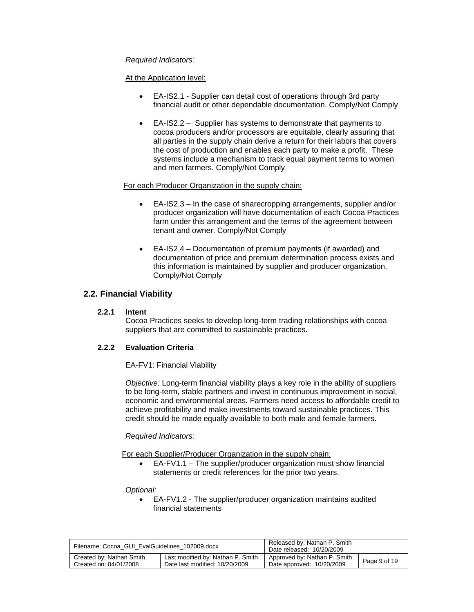*Required Indicators:* 

At the Application level:

- EA-IS2.1 Supplier can detail cost of operations through 3rd party financial audit or other dependable documentation. Comply/Not Comply
- EA-IS2.2 Supplier has systems to demonstrate that payments to cocoa producers and/or processors are equitable, clearly assuring that all parties in the supply chain derive a return for their labors that covers the cost of production and enables each party to make a profit. These systems include a mechanism to track equal payment terms to women and men farmers. Comply/Not Comply

# For each Producer Organization in the supply chain:

- EA-IS2.3 In the case of sharecropping arrangements, supplier and/or producer organization will have documentation of each Cocoa Practices farm under this arrangement and the terms of the agreement between tenant and owner. Comply/Not Comply
- EA-IS2.4 Documentation of premium payments (if awarded) and documentation of price and premium determination process exists and this information is maintained by supplier and producer organization. Comply/Not Comply

# **2.2. Financial Viability**

# **2.2.1 Intent**

Cocoa Practices seeks to develop long-term trading relationships with cocoa suppliers that are committed to sustainable practices.

# **2.2.2 Evaluation Criteria**

# EA-FV1: Financial Viability

*Objective:* Long-term financial viability plays a key role in the ability of suppliers to be long-term, stable partners and invest in continuous improvement in social, economic and environmental areas. Farmers need access to affordable credit to achieve profitability and make investments toward sustainable practices. This credit should be made equally available to both male and female farmers.

# *Required Indicators:*

For each Supplier/Producer Organization in the supply chain:

 EA-FV1.1 – The supplier/producer organization must show financial statements or credit references for the prior two years.

# *Optional:*

 EA-FV1.2 - The supplier/producer organization maintains audited financial statements

| Filename: Cocoa GUI EvalGuidelines 102009.docx |                                   | Released by: Nathan P. Smith<br>Date released: 10/20/2009 |              |
|------------------------------------------------|-----------------------------------|-----------------------------------------------------------|--------------|
| Created by: Nathan Smith                       | Last modified by: Nathan P. Smith | Approved by: Nathan P. Smith                              | Page 9 of 19 |
| Created on: 04/01/2008                         | Date last modified: 10/20/2009    | Date approved: 10/20/2009                                 |              |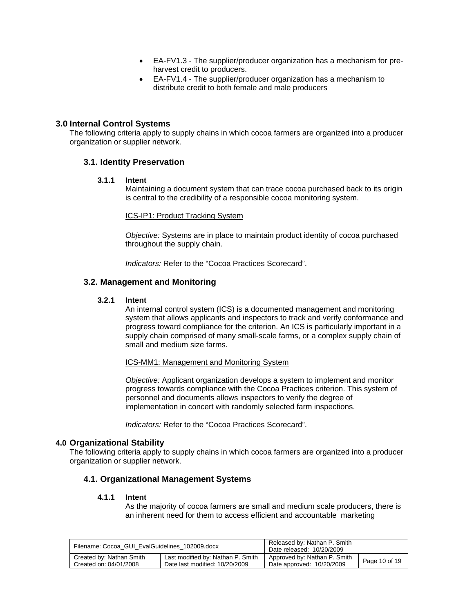- EA-FV1.3 The supplier/producer organization has a mechanism for preharvest credit to producers.
- EA-FV1.4 The supplier/producer organization has a mechanism to distribute credit to both female and male producers

# **3.0 Internal Control Systems**

The following criteria apply to supply chains in which cocoa farmers are organized into a producer organization or supplier network.

# **3.1. Identity Preservation**

#### **3.1.1 Intent**

Maintaining a document system that can trace cocoa purchased back to its origin is central to the credibility of a responsible cocoa monitoring system.

#### ICS-IP1: Product Tracking System

*Objective:* Systems are in place to maintain product identity of cocoa purchased throughout the supply chain.

*Indicators:* Refer to the "Cocoa Practices Scorecard".

# **3.2. Management and Monitoring**

#### **3.2.1 Intent**

An internal control system (ICS) is a documented management and monitoring system that allows applicants and inspectors to track and verify conformance and progress toward compliance for the criterion. An ICS is particularly important in a supply chain comprised of many small-scale farms, or a complex supply chain of small and medium size farms.

#### ICS-MM1: Management and Monitoring System

*Objective:* Applicant organization develops a system to implement and monitor progress towards compliance with the Cocoa Practices criterion. This system of personnel and documents allows inspectors to verify the degree of implementation in concert with randomly selected farm inspections.

*Indicators:* Refer to the "Cocoa Practices Scorecard".

# **4.0 Organizational Stability**

The following criteria apply to supply chains in which cocoa farmers are organized into a producer organization or supplier network.

# **4.1. Organizational Management Systems**

# **4.1.1 Intent**

As the majority of cocoa farmers are small and medium scale producers, there is an inherent need for them to access efficient and accountable marketing

| Filename: Cocoa GUI EvalGuidelines 102009.docx |                                   | Released by: Nathan P. Smith<br>Date released: 10/20/2009 |               |
|------------------------------------------------|-----------------------------------|-----------------------------------------------------------|---------------|
| Created by: Nathan Smith                       | Last modified by: Nathan P. Smith | Approved by: Nathan P. Smith                              | Page 10 of 19 |
| Created on: 04/01/2008                         | Date last modified: 10/20/2009    | Date approved: 10/20/2009                                 |               |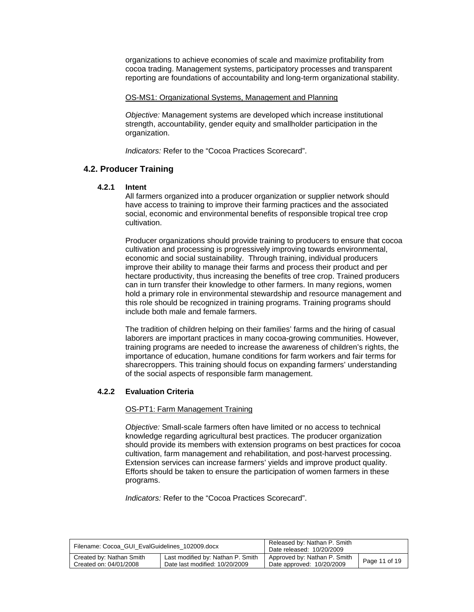organizations to achieve economies of scale and maximize profitability from cocoa trading. Management systems, participatory processes and transparent reporting are foundations of accountability and long-term organizational stability.

# OS-MS1: Organizational Systems, Management and Planning

*Objective:* Management systems are developed which increase institutional strength, accountability, gender equity and smallholder participation in the organization.

*Indicators:* Refer to the "Cocoa Practices Scorecard".

# **4.2. Producer Training**

# **4.2.1 Intent**

All farmers organized into a producer organization or supplier network should have access to training to improve their farming practices and the associated social, economic and environmental benefits of responsible tropical tree crop cultivation.

Producer organizations should provide training to producers to ensure that cocoa cultivation and processing is progressively improving towards environmental, economic and social sustainability. Through training, individual producers improve their ability to manage their farms and process their product and per hectare productivity, thus increasing the benefits of tree crop. Trained producers can in turn transfer their knowledge to other farmers. In many regions, women hold a primary role in environmental stewardship and resource management and this role should be recognized in training programs. Training programs should include both male and female farmers.

The tradition of children helping on their families' farms and the hiring of casual laborers are important practices in many cocoa-growing communities. However, training programs are needed to increase the awareness of children's rights, the importance of education, humane conditions for farm workers and fair terms for sharecroppers. This training should focus on expanding farmers' understanding of the social aspects of responsible farm management.

# **4.2.2 Evaluation Criteria**

#### OS-PT1: Farm Management Training

*Objective:* Small-scale farmers often have limited or no access to technical knowledge regarding agricultural best practices. The producer organization should provide its members with extension programs on best practices for cocoa cultivation, farm management and rehabilitation, and post-harvest processing. Extension services can increase farmers' yields and improve product quality. Efforts should be taken to ensure the participation of women farmers in these programs.

| Filename: Cocoa GUI EvalGuidelines 102009.docx |                                   | Released by: Nathan P. Smith<br>Date released: 10/20/2009 |               |
|------------------------------------------------|-----------------------------------|-----------------------------------------------------------|---------------|
| Created by: Nathan Smith                       | Last modified by: Nathan P. Smith | Approved by: Nathan P. Smith                              | Page 11 of 19 |
| Created on: 04/01/2008                         | Date last modified: 10/20/2009    | Date approved: 10/20/2009                                 |               |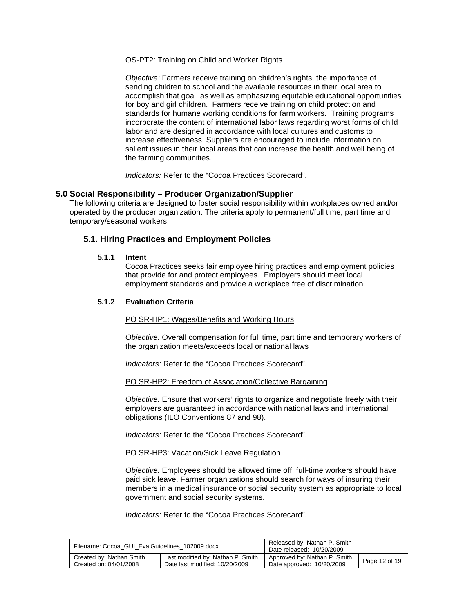# OS-PT2: Training on Child and Worker Rights

*Objective:* Farmers receive training on children's rights, the importance of sending children to school and the available resources in their local area to accomplish that goal, as well as emphasizing equitable educational opportunities for boy and girl children. Farmers receive training on child protection and standards for humane working conditions for farm workers. Training programs incorporate the content of international labor laws regarding worst forms of child labor and are designed in accordance with local cultures and customs to increase effectiveness. Suppliers are encouraged to include information on salient issues in their local areas that can increase the health and well being of the farming communities.

*Indicators:* Refer to the "Cocoa Practices Scorecard".

# **5.0 Social Responsibility – Producer Organization/Supplier**

The following criteria are designed to foster social responsibility within workplaces owned and/or operated by the producer organization. The criteria apply to permanent/full time, part time and temporary/seasonal workers.

# **5.1. Hiring Practices and Employment Policies**

# **5.1.1 Intent**

Cocoa Practices seeks fair employee hiring practices and employment policies that provide for and protect employees. Employers should meet local employment standards and provide a workplace free of discrimination.

# **5.1.2 Evaluation Criteria**

PO SR-HP1: Wages/Benefits and Working Hours

*Objective:* Overall compensation for full time, part time and temporary workers of the organization meets/exceeds local or national laws

*Indicators:* Refer to the "Cocoa Practices Scorecard".

# PO SR-HP2: Freedom of Association/Collective Bargaining

*Objective:* Ensure that workers' rights to organize and negotiate freely with their employers are guaranteed in accordance with national laws and international obligations (ILO Conventions 87 and 98).

*Indicators:* Refer to the "Cocoa Practices Scorecard".

#### PO SR-HP3: Vacation/Sick Leave Regulation

*Objective:* Employees should be allowed time off, full-time workers should have paid sick leave. Farmer organizations should search for ways of insuring their members in a medical insurance or social security system as appropriate to local government and social security systems.

| Filename: Cocoa GUI EvalGuidelines 102009.docx |                                   | Released by: Nathan P. Smith<br>Date released: 10/20/2009 |               |
|------------------------------------------------|-----------------------------------|-----------------------------------------------------------|---------------|
| Created by: Nathan Smith                       | Last modified by: Nathan P. Smith | Approved by: Nathan P. Smith                              | Page 12 of 19 |
| Created on: 04/01/2008                         | Date last modified: 10/20/2009    | Date approved: 10/20/2009                                 |               |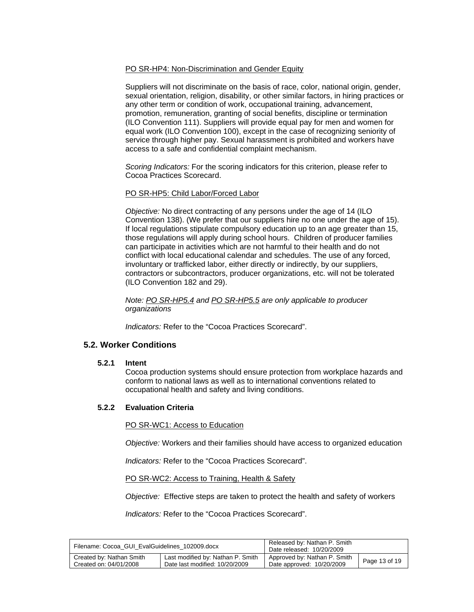# PO SR-HP4: Non-Discrimination and Gender Equity

Suppliers will not discriminate on the basis of race, color, national origin, gender, sexual orientation, religion, disability, or other similar factors, in hiring practices or any other term or condition of work, occupational training, advancement, promotion, remuneration, granting of social benefits, discipline or termination (ILO Convention 111). Suppliers will provide equal pay for men and women for equal work (ILO Convention 100), except in the case of recognizing seniority of service through higher pay. Sexual harassment is prohibited and workers have access to a safe and confidential complaint mechanism.

*Scoring Indicators:* For the scoring indicators for this criterion, please refer to Cocoa Practices Scorecard.

# PO SR-HP5: Child Labor/Forced Labor

*Objective:* No direct contracting of any persons under the age of 14 (ILO Convention 138). (We prefer that our suppliers hire no one under the age of 15). If local regulations stipulate compulsory education up to an age greater than 15, those regulations will apply during school hours. Children of producer families can participate in activities which are not harmful to their health and do not conflict with local educational calendar and schedules. The use of any forced, involuntary or trafficked labor, either directly or indirectly, by our suppliers, contractors or subcontractors, producer organizations, etc. will not be tolerated (ILO Convention 182 and 29).

*Note: PO SR-HP5.4 and PO SR-HP5.5 are only applicable to producer organizations* 

*Indicators:* Refer to the "Cocoa Practices Scorecard".

# **5.2. Worker Conditions**

# **5.2.1 Intent**

Cocoa production systems should ensure protection from workplace hazards and conform to national laws as well as to international conventions related to occupational health and safety and living conditions.

# **5.2.2 Evaluation Criteria**

PO SR-WC1: Access to Education

*Objective:* Workers and their families should have access to organized education

*Indicators:* Refer to the "Cocoa Practices Scorecard".

PO SR-WC2: Access to Training, Health & Safety

*Objective:* Effective steps are taken to protect the health and safety of workers

| Filename: Cocoa GUI EvalGuidelines 102009.docx |                                   | Released by: Nathan P. Smith<br>Date released: 10/20/2009 |               |
|------------------------------------------------|-----------------------------------|-----------------------------------------------------------|---------------|
| Created by: Nathan Smith                       | Last modified by: Nathan P. Smith | Approved by: Nathan P. Smith                              | Page 13 of 19 |
| Created on: 04/01/2008                         | Date last modified: 10/20/2009    | Date approved: 10/20/2009                                 |               |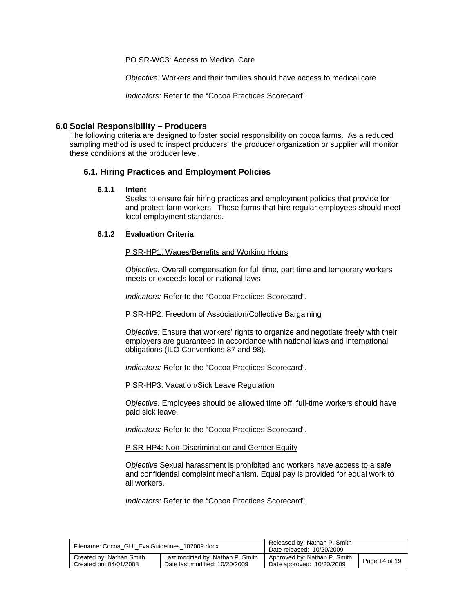#### PO SR-WC3: Access to Medical Care

*Objective:* Workers and their families should have access to medical care

*Indicators:* Refer to the "Cocoa Practices Scorecard".

# **6.0 Social Responsibility – Producers**

The following criteria are designed to foster social responsibility on cocoa farms. As a reduced sampling method is used to inspect producers, the producer organization or supplier will monitor these conditions at the producer level.

# **6.1. Hiring Practices and Employment Policies**

#### **6.1.1 Intent**

Seeks to ensure fair hiring practices and employment policies that provide for and protect farm workers. Those farms that hire regular employees should meet local employment standards.

#### **6.1.2 Evaluation Criteria**

#### P SR-HP1: Wages/Benefits and Working Hours

*Objective:* Overall compensation for full time, part time and temporary workers meets or exceeds local or national laws

*Indicators:* Refer to the "Cocoa Practices Scorecard".

#### P SR-HP2: Freedom of Association/Collective Bargaining

*Objective:* Ensure that workers' rights to organize and negotiate freely with their employers are guaranteed in accordance with national laws and international obligations (ILO Conventions 87 and 98).

*Indicators:* Refer to the "Cocoa Practices Scorecard".

P SR-HP3: Vacation/Sick Leave Regulation

*Objective:* Employees should be allowed time off, full-time workers should have paid sick leave.

*Indicators:* Refer to the "Cocoa Practices Scorecard".

P SR-HP4: Non-Discrimination and Gender Equity

*Objective* Sexual harassment is prohibited and workers have access to a safe and confidential complaint mechanism. Equal pay is provided for equal work to all workers.

| Filename: Cocoa GUI EvalGuidelines 102009.docx |                                   | Released by: Nathan P. Smith<br>Date released: 10/20/2009 |               |
|------------------------------------------------|-----------------------------------|-----------------------------------------------------------|---------------|
| Created by: Nathan Smith                       | Last modified by: Nathan P. Smith | Approved by: Nathan P. Smith                              | Page 14 of 19 |
| Created on: 04/01/2008                         | Date last modified: 10/20/2009    | Date approved: 10/20/2009                                 |               |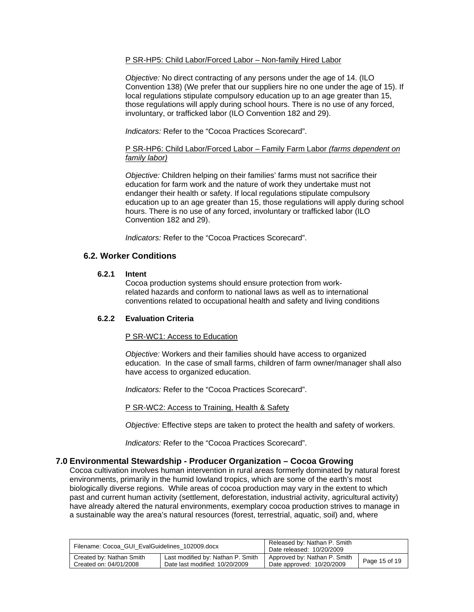# P SR-HP5: Child Labor/Forced Labor – Non-family Hired Labor

*Objective:* No direct contracting of any persons under the age of 14. (ILO Convention 138) (We prefer that our suppliers hire no one under the age of 15). If local regulations stipulate compulsory education up to an age greater than 15, those regulations will apply during school hours. There is no use of any forced, involuntary, or trafficked labor (ILO Convention 182 and 29).

*Indicators:* Refer to the "Cocoa Practices Scorecard".

# P SR-HP6: Child Labor/Forced Labor – Family Farm Labor *(farms dependent on family labor)*

*Objective:* Children helping on their families' farms must not sacrifice their education for farm work and the nature of work they undertake must not endanger their health or safety. If local regulations stipulate compulsory education up to an age greater than 15, those regulations will apply during school hours. There is no use of any forced, involuntary or trafficked labor (ILO Convention 182 and 29).

*Indicators:* Refer to the "Cocoa Practices Scorecard".

# **6.2. Worker Conditions**

#### **6.2.1 Intent**

Cocoa production systems should ensure protection from workrelated hazards and conform to national laws as well as to international conventions related to occupational health and safety and living conditions

# **6.2.2 Evaluation Criteria**

# P SR-WC1: Access to Education

*Objective:* Workers and their families should have access to organized education. In the case of small farms, children of farm owner/manager shall also have access to organized education.

*Indicators:* Refer to the "Cocoa Practices Scorecard".

P SR-WC2: Access to Training, Health & Safety

*Objective:* Effective steps are taken to protect the health and safety of workers.

*Indicators:* Refer to the "Cocoa Practices Scorecard".

# **7.0 Environmental Stewardship - Producer Organization – Cocoa Growing**

Cocoa cultivation involves human intervention in rural areas formerly dominated by natural forest environments, primarily in the humid lowland tropics, which are some of the earth's most biologically diverse regions. While areas of cocoa production may vary in the extent to which past and current human activity (settlement, deforestation, industrial activity, agricultural activity) have already altered the natural environments, exemplary cocoa production strives to manage in a sustainable way the area's natural resources (forest, terrestrial, aquatic, soil) and, where

| Filename: Cocoa GUI EvalGuidelines 102009.docx |                                   | Released by: Nathan P. Smith<br>Date released: 10/20/2009 |               |
|------------------------------------------------|-----------------------------------|-----------------------------------------------------------|---------------|
| Created by: Nathan Smith                       | Last modified by: Nathan P. Smith | Approved by: Nathan P. Smith                              | Page 15 of 19 |
| Created on: 04/01/2008                         | Date last modified: 10/20/2009    | Date approved: 10/20/2009                                 |               |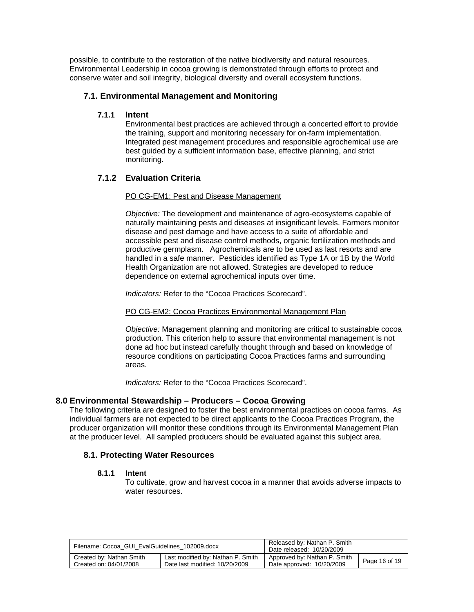possible, to contribute to the restoration of the native biodiversity and natural resources. Environmental Leadership in cocoa growing is demonstrated through efforts to protect and conserve water and soil integrity, biological diversity and overall ecosystem functions.

# **7.1. Environmental Management and Monitoring**

# **7.1.1 Intent**

Environmental best practices are achieved through a concerted effort to provide the training, support and monitoring necessary for on-farm implementation. Integrated pest management procedures and responsible agrochemical use are best guided by a sufficient information base, effective planning, and strict monitoring.

# **7.1.2 Evaluation Criteria**

# PO CG-EM1: Pest and Disease Management

*Objective:* The development and maintenance of agro-ecosystems capable of naturally maintaining pests and diseases at insignificant levels. Farmers monitor disease and pest damage and have access to a suite of affordable and accessible pest and disease control methods, organic fertilization methods and productive germplasm. Agrochemicals are to be used as last resorts and are handled in a safe manner. Pesticides identified as Type 1A or 1B by the World Health Organization are not allowed. Strategies are developed to reduce dependence on external agrochemical inputs over time.

*Indicators:* Refer to the "Cocoa Practices Scorecard".

# PO CG-EM2: Cocoa Practices Environmental Management Plan

*Objective:* Management planning and monitoring are critical to sustainable cocoa production. This criterion help to assure that environmental management is not done ad hoc but instead carefully thought through and based on knowledge of resource conditions on participating Cocoa Practices farms and surrounding areas.

*Indicators:* Refer to the "Cocoa Practices Scorecard".

# **8.0 Environmental Stewardship – Producers – Cocoa Growing**

The following criteria are designed to foster the best environmental practices on cocoa farms. As individual farmers are not expected to be direct applicants to the Cocoa Practices Program, the producer organization will monitor these conditions through its Environmental Management Plan at the producer level. All sampled producers should be evaluated against this subject area.

# **8.1. Protecting Water Resources**

# **8.1.1 Intent**

To cultivate, grow and harvest cocoa in a manner that avoids adverse impacts to water resources.

| Filename: Cocoa GUI EvalGuidelines 102009.docx |                                   | Released by: Nathan P. Smith<br>Date released: 10/20/2009 |               |
|------------------------------------------------|-----------------------------------|-----------------------------------------------------------|---------------|
| Created by: Nathan Smith                       | Last modified by: Nathan P. Smith | Approved by: Nathan P. Smith                              | Page 16 of 19 |
| Created on: 04/01/2008                         | Date last modified: 10/20/2009    | Date approved: 10/20/2009                                 |               |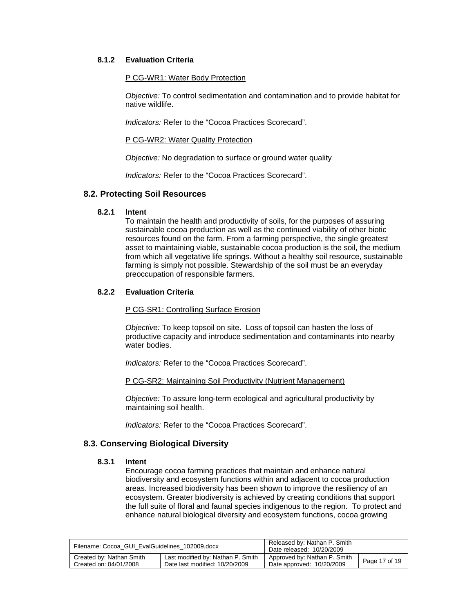# **8.1.2 Evaluation Criteria**

# P CG-WR1: Water Body Protection

*Objective:* To control sedimentation and contamination and to provide habitat for native wildlife.

*Indicators:* Refer to the "Cocoa Practices Scorecard".

# P CG-WR2: Water Quality Protection

*Objective:* No degradation to surface or ground water quality

*Indicators:* Refer to the "Cocoa Practices Scorecard".

# **8.2. Protecting Soil Resources**

#### **8.2.1 Intent**

To maintain the health and productivity of soils, for the purposes of assuring sustainable cocoa production as well as the continued viability of other biotic resources found on the farm. From a farming perspective, the single greatest asset to maintaining viable, sustainable cocoa production is the soil, the medium from which all vegetative life springs. Without a healthy soil resource, sustainable farming is simply not possible. Stewardship of the soil must be an everyday preoccupation of responsible farmers.

# **8.2.2 Evaluation Criteria**

#### P CG-SR1: Controlling Surface Erosion

*Objective:* To keep topsoil on site. Loss of topsoil can hasten the loss of productive capacity and introduce sedimentation and contaminants into nearby water bodies.

*Indicators:* Refer to the "Cocoa Practices Scorecard".

# P CG-SR2: Maintaining Soil Productivity (Nutrient Management)

*Objective:* To assure long-term ecological and agricultural productivity by maintaining soil health.

*Indicators:* Refer to the "Cocoa Practices Scorecard".

# **8.3. Conserving Biological Diversity**

#### **8.3.1 Intent**

Encourage cocoa farming practices that maintain and enhance natural biodiversity and ecosystem functions within and adjacent to cocoa production areas. Increased biodiversity has been shown to improve the resiliency of an ecosystem. Greater biodiversity is achieved by creating conditions that support the full suite of floral and faunal species indigenous to the region. To protect and enhance natural biological diversity and ecosystem functions, cocoa growing

| Filename: Cocoa GUI EvalGuidelines 102009.docx |                                   | Released by: Nathan P. Smith<br>Date released: 10/20/2009 |               |
|------------------------------------------------|-----------------------------------|-----------------------------------------------------------|---------------|
| Created by: Nathan Smith                       | Last modified by: Nathan P. Smith | Approved by: Nathan P. Smith                              | Page 17 of 19 |
| Created on: 04/01/2008                         | Date last modified: 10/20/2009    | Date approved: 10/20/2009                                 |               |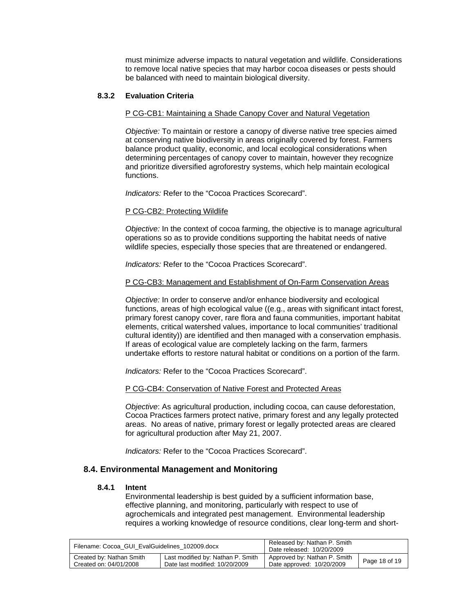must minimize adverse impacts to natural vegetation and wildlife. Considerations to remove local native species that may harbor cocoa diseases or pests should be balanced with need to maintain biological diversity.

# **8.3.2 Evaluation Criteria**

# P CG-CB1: Maintaining a Shade Canopy Cover and Natural Vegetation

*Objective:* To maintain or restore a canopy of diverse native tree species aimed at conserving native biodiversity in areas originally covered by forest. Farmers balance product quality, economic, and local ecological considerations when determining percentages of canopy cover to maintain, however they recognize and prioritize diversified agroforestry systems, which help maintain ecological functions.

*Indicators:* Refer to the "Cocoa Practices Scorecard".

#### P CG-CB2: Protecting Wildlife

*Objective:* In the context of cocoa farming, the objective is to manage agricultural operations so as to provide conditions supporting the habitat needs of native wildlife species, especially those species that are threatened or endangered.

*Indicators:* Refer to the "Cocoa Practices Scorecard".

#### P CG-CB3: Management and Establishment of On-Farm Conservation Areas

*Objective:* In order to conserve and/or enhance biodiversity and ecological functions, areas of high ecological value ((e.g., areas with significant intact forest, primary forest canopy cover, rare flora and fauna communities, important habitat elements, critical watershed values, importance to local communities' traditional cultural identity)) are identified and then managed with a conservation emphasis. If areas of ecological value are completely lacking on the farm, farmers undertake efforts to restore natural habitat or conditions on a portion of the farm.

*Indicators:* Refer to the "Cocoa Practices Scorecard".

# P CG-CB4: Conservation of Native Forest and Protected Areas

*Objective*: As agricultural production, including cocoa, can cause deforestation, Cocoa Practices farmers protect native, primary forest and any legally protected areas. No areas of native, primary forest or legally protected areas are cleared for agricultural production after May 21, 2007.

*Indicators:* Refer to the "Cocoa Practices Scorecard".

# **8.4. Environmental Management and Monitoring**

#### **8.4.1 Intent**

Environmental leadership is best guided by a sufficient information base, effective planning, and monitoring, particularly with respect to use of agrochemicals and integrated pest management.Environmental leadership requires a working knowledge of resource conditions, clear long-term and short-

| Filename: Cocoa GUI EvalGuidelines 102009.docx |                                   | Released by: Nathan P. Smith<br>Date released: 10/20/2009 |               |
|------------------------------------------------|-----------------------------------|-----------------------------------------------------------|---------------|
| Created by: Nathan Smith                       | Last modified by: Nathan P. Smith | Approved by: Nathan P. Smith                              | Page 18 of 19 |
| Created on: 04/01/2008                         | Date last modified: 10/20/2009    | Date approved: 10/20/2009                                 |               |